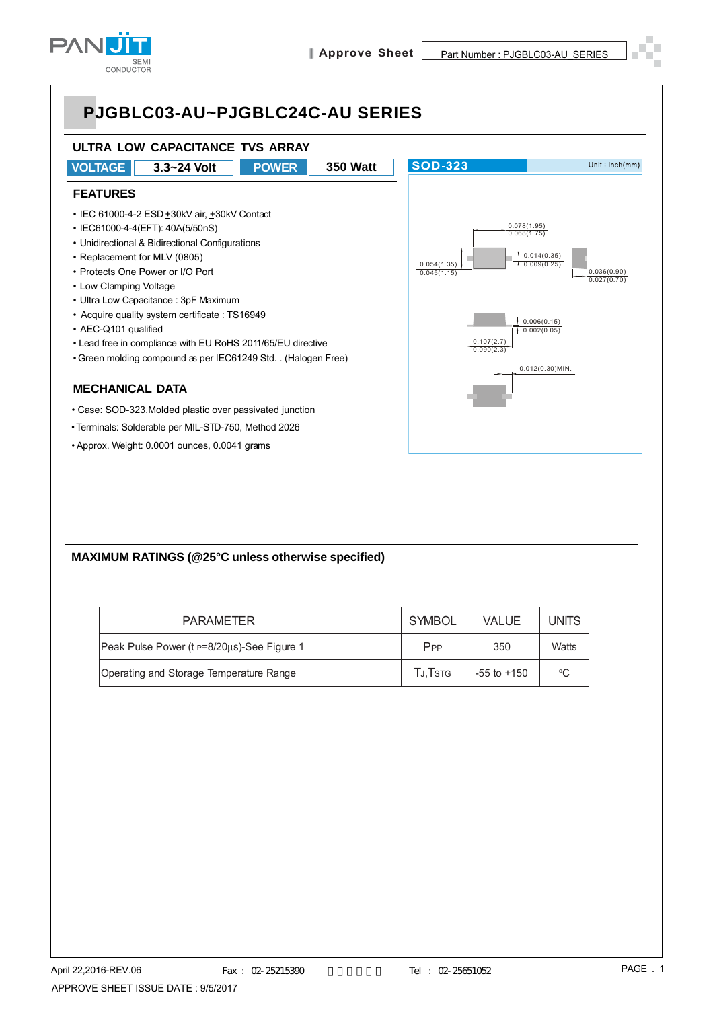



• Approx. Weight: 0.0001 ounces, 0.0041 grams

#### **MAXIMUM RATINGS (@25°C unless otherwise specified)**

| <b>PARAMETER</b>                           | SYMBOL          | <b>VALUE</b>    | UNITS |
|--------------------------------------------|-----------------|-----------------|-------|
| Peak Pulse Power (t p=8/20us)-See Figure 1 | P <sub>PP</sub> | 350             | Watts |
| Operating and Storage Temperature Range    | TJ.Tstg         | $-55$ to $+150$ | °C    |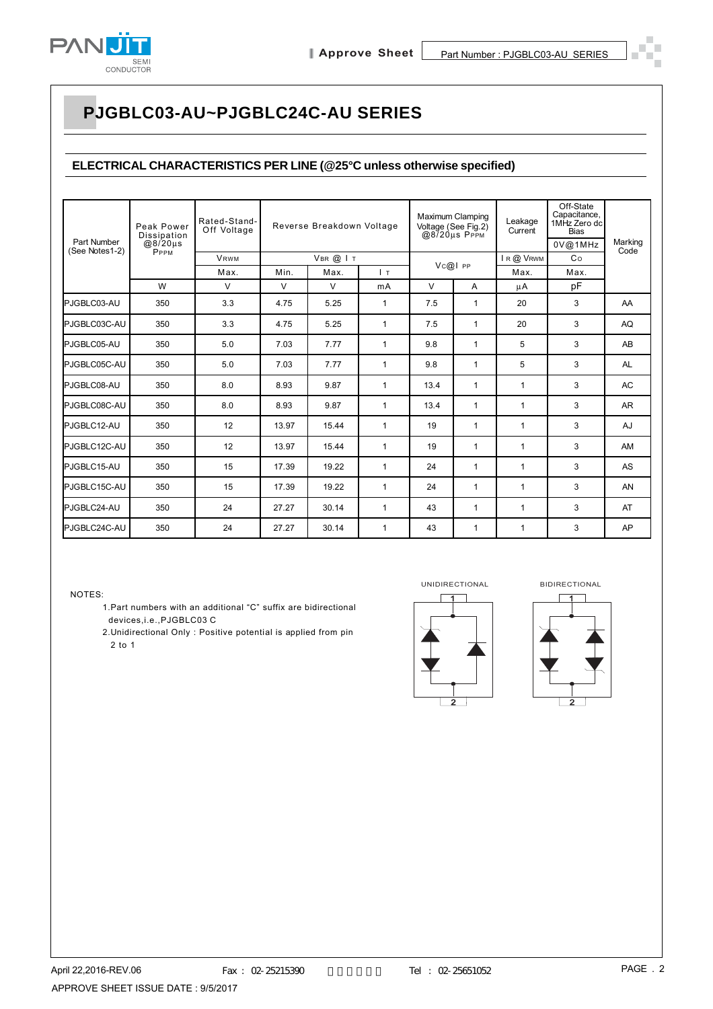

#### **ELECTRICAL CHARACTERISTICS PER LINE (@25°C unless otherwise specified)**

| Part Number<br>(See Notes1-2) | Peak Power<br>Dissipation<br>$@8/20\mu s$<br><b>PPPM</b> | Rated-Stand-<br>Off Voltage | Reverse Breakdown Voltage<br>VBR @ IT |        |              | Maximum Clamping<br>Voltage (See Fig.2)<br>@8720us PPPM |              | Leakage<br>Current | Off-State<br>Capacitance,<br>1MHz Zero dc<br><b>Bias</b><br>0V@1MHz | Marking   |  |
|-------------------------------|----------------------------------------------------------|-----------------------------|---------------------------------------|--------|--------------|---------------------------------------------------------|--------------|--------------------|---------------------------------------------------------------------|-----------|--|
|                               |                                                          | <b>VRWM</b>                 |                                       |        |              |                                                         |              | IR @ VRWM          | Co                                                                  | Code      |  |
|                               |                                                          | Max.                        | Min.                                  | Max.   | $\mathsf{L}$ | $Vc@I$ PP                                               |              | Max.               | Max.                                                                |           |  |
|                               | W                                                        | $\vee$                      | V                                     | $\vee$ | mA           | $\vee$<br>A                                             |              | μA                 | pF                                                                  |           |  |
| PJGBLC03-AU                   | 350                                                      | 3.3                         | 4.75                                  | 5.25   | $\mathbf{1}$ | 7.5                                                     | $\mathbf{1}$ | 20                 | 3                                                                   | AA        |  |
| PJGBLC03C-AU                  | 350                                                      | 3.3                         | 4.75                                  | 5.25   | $\mathbf{1}$ | 7.5                                                     | $\mathbf{1}$ | 20                 | 3                                                                   | AQ        |  |
| PJGBLC05-AU                   | 350                                                      | 5.0                         | 7.03                                  | 7.77   | 1            | 9.8                                                     | $\mathbf 1$  | 5                  | 3                                                                   | AB        |  |
| PJGBLC05C-AU                  | 350                                                      | 5.0                         | 7.03                                  | 7.77   | 1            | 9.8                                                     | $\mathbf 1$  | 5                  | 3                                                                   | <b>AL</b> |  |
| PJGBLC08-AU                   | 350                                                      | 8.0                         | 8.93                                  | 9.87   | 1            | 13.4                                                    | $\mathbf{1}$ | 1                  | 3                                                                   | <b>AC</b> |  |
| PJGBLC08C-AU                  | 350                                                      | 8.0                         | 8.93                                  | 9.87   | $\mathbf{1}$ | 13.4                                                    | $\mathbf{1}$ | $\mathbf{1}$       | 3                                                                   | AR        |  |
| PJGBLC12-AU                   | 350                                                      | 12                          | 13.97                                 | 15.44  | 1            | 19                                                      | $\mathbf 1$  | 1                  | 3                                                                   | AJ        |  |
| PJGBLC12C-AU                  | 350                                                      | 12                          | 13.97                                 | 15.44  | 1            | 19                                                      | $\mathbf 1$  | 1                  | 3                                                                   | AM        |  |
| PJGBLC15-AU                   | 350                                                      | 15                          | 17.39                                 | 19.22  | 1            | 24                                                      | $\mathbf{1}$ | 1                  | 3                                                                   | <b>AS</b> |  |
| PJGBLC15C-AU                  | 350                                                      | 15                          | 17.39                                 | 19.22  | $\mathbf{1}$ | 24                                                      | $\mathbf{1}$ | 1                  | 3                                                                   | AN        |  |
| PJGBLC24-AU                   | 350                                                      | 24                          | 27.27                                 | 30.14  | $\mathbf{1}$ | 43                                                      | 1            | 1                  | 3                                                                   | AT        |  |
| PJGBLC24C-AU                  | 350                                                      | 24                          | 27.27                                 | 30.14  | 1            | 43                                                      | $\mathbf 1$  | 1                  | 3                                                                   | AP        |  |

NOTES:

- 1.Part numbers with an additional "C" suffix are bidirectional devices,i.e.,PJGBLC03 C
- 2.Unidirectional Only : Positive potential is applied from pin 2 to 1



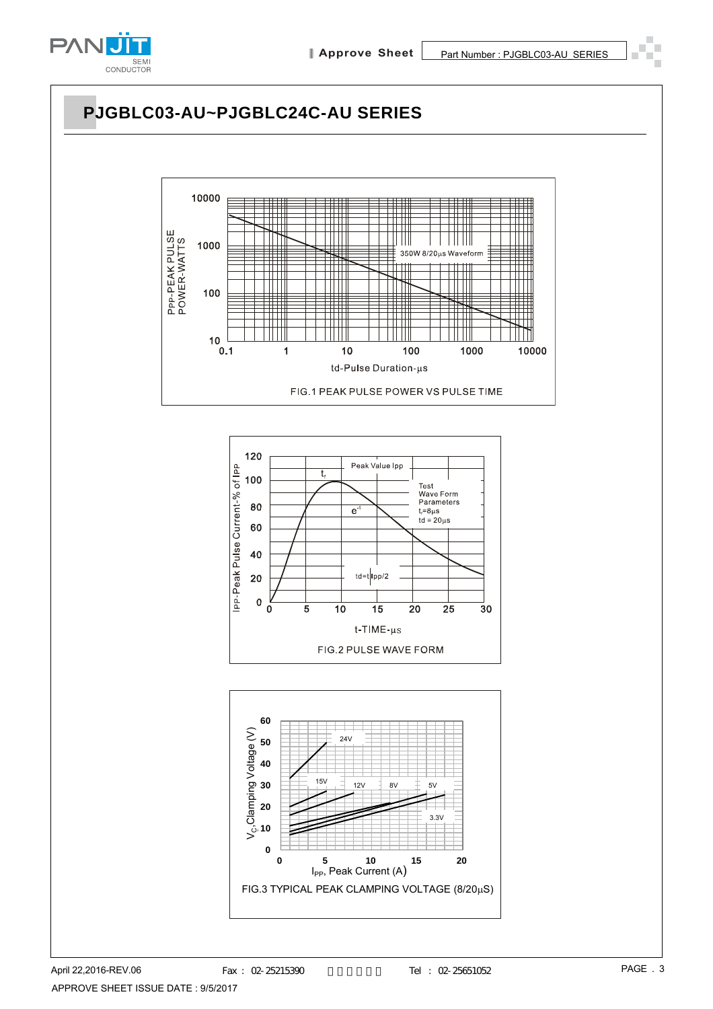

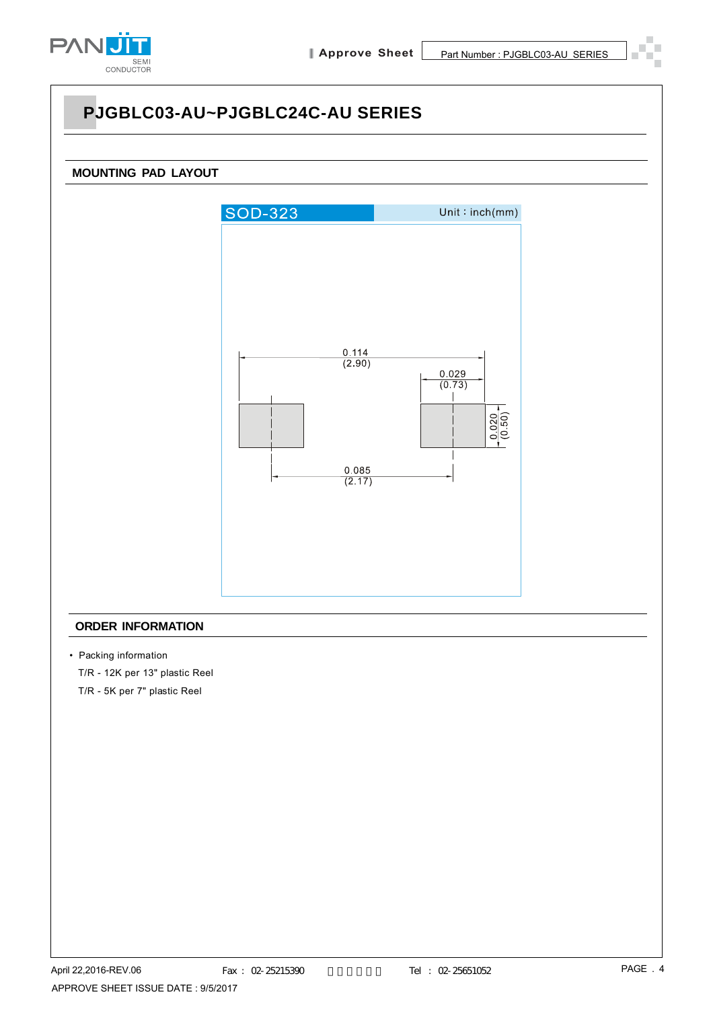



#### **ORDER INFORMATION**

- Packing information
	- T/R 12K per 13" plastic Reel
	- T/R 5K per 7" plastic Reel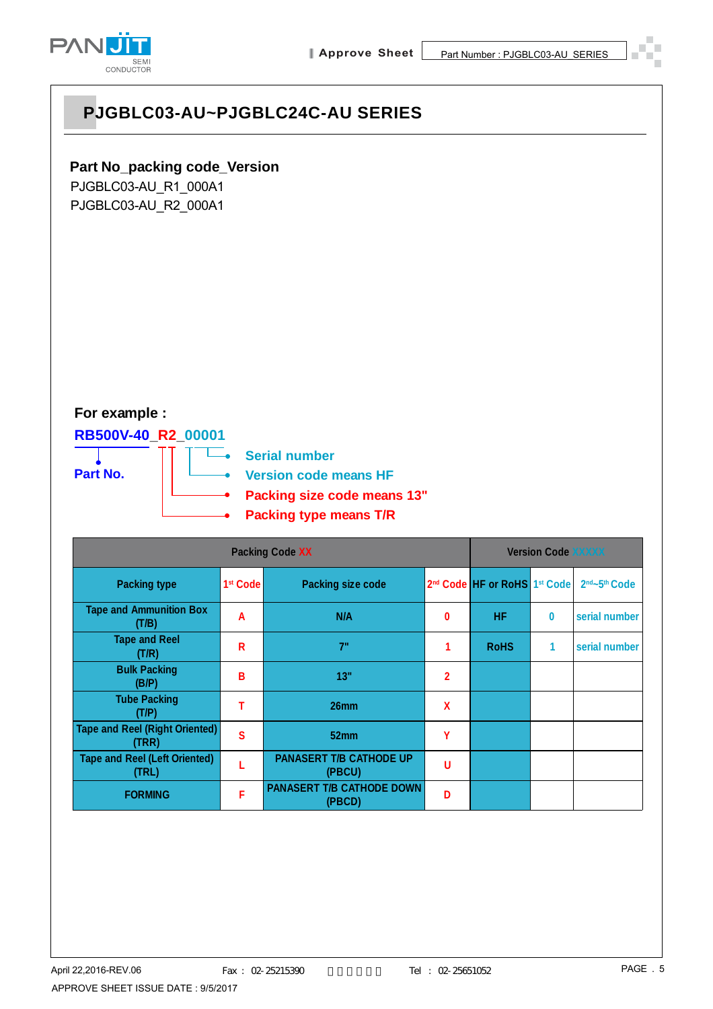

#### **Part No\_packing code\_Version**

PJGBLC03-AU\_R1\_000A1 PJGBLC03-AU\_R2\_000A1

#### **For example :**

#### **RB500V-40\_R2\_00001**



**Serial number Version code means HF Packing size code means 13" Packing type means T/R**

|                                                | <b>Version Code XXXXX</b> |                                            |   |                                                      |   |                                       |
|------------------------------------------------|---------------------------|--------------------------------------------|---|------------------------------------------------------|---|---------------------------------------|
| <b>Packing type</b>                            | 1 <sup>st</sup> Code      | <b>Packing size code</b>                   |   | 2 <sup>nd</sup> Code HF or RoHS 1 <sup>st</sup> Code |   | 2 <sup>nd</sup> ~5 <sup>th</sup> Code |
| <b>Tape and Ammunition Box</b><br>(T/B)        | A                         | N/A                                        | 0 | <b>HF</b>                                            | 0 | serial number                         |
| <b>Tape and Reel</b><br>(T/R)                  | R                         | 7"                                         |   | <b>RoHS</b>                                          | 1 | serial number                         |
| <b>Bulk Packing</b><br>(B/P)                   | B                         | 13"                                        | 2 |                                                      |   |                                       |
| <b>Tube Packing</b><br>(T/P)                   | т                         | 26 <sub>mm</sub>                           | X |                                                      |   |                                       |
| <b>Tape and Reel (Right Oriented)</b><br>(TRR) | $\mathbf{s}$              | 52 <sub>mm</sub>                           | Υ |                                                      |   |                                       |
| <b>Tape and Reel (Left Oriented)</b><br>(TRL)  |                           | <b>PANASERT T/B CATHODE UP</b><br>(PBCU)   | U |                                                      |   |                                       |
| <b>FORMING</b>                                 | F                         | <b>PANASERT T/B CATHODE DOWN</b><br>(PBCD) | D |                                                      |   |                                       |